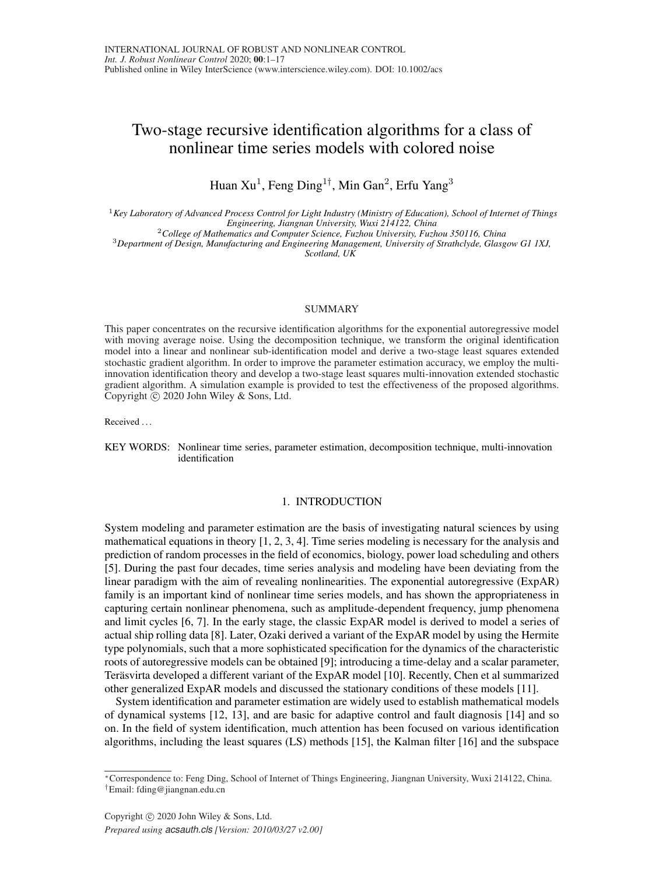# Two-stage recursive identification algorithms for a class of nonlinear time series models with colored noise

Huan  $Xu^1$ , Feng Ding<sup>1†</sup>, Min Gan<sup>2</sup>, Erfu Yang<sup>3</sup>

<sup>1</sup>*Key Laboratory of Advanced Process Control for Light Industry (Ministry of Education), School of Internet of Things Engineering, Jiangnan University, Wuxi 214122, China*

<sup>2</sup>*College of Mathematics and Computer Science, Fuzhou University, Fuzhou 350116, China*

<sup>3</sup>*Department of Design, Manufacturing and Engineering Management, University of Strathclyde, Glasgow G1 1XJ, Scotland, UK*

### SUMMARY

This paper concentrates on the recursive identification algorithms for the exponential autoregressive model with moving average noise. Using the decomposition technique, we transform the original identification model into a linear and nonlinear sub-identification model and derive a two-stage least squares extended stochastic gradient algorithm. In order to improve the parameter estimation accuracy, we employ the multiinnovation identification theory and develop a two-stage least squares multi-innovation extended stochastic gradient algorithm. A simulation example is provided to test the effectiveness of the proposed algorithms. Copyright  $\circ$  2020 John Wiley & Sons, Ltd.

Received . . .

KEY WORDS: Nonlinear time series, parameter estimation, decomposition technique, multi-innovation identification

### 1. INTRODUCTION

System modeling and parameter estimation are the basis of investigating natural sciences by using mathematical equations in theory [1, 2, 3, 4]. Time series modeling is necessary for the analysis and prediction of random processes in the field of economics, biology, power load scheduling and others [5]. During the past four decades, time series analysis and modeling have been deviating from the linear paradigm with the aim of revealing nonlinearities. The exponential autoregressive (ExpAR) family is an important kind of nonlinear time series models, and has shown the appropriateness in capturing certain nonlinear phenomena, such as amplitude-dependent frequency, jump phenomena and limit cycles [6, 7]. In the early stage, the classic ExpAR model is derived to model a series of actual ship rolling data [8]. Later, Ozaki derived a variant of the ExpAR model by using the Hermite type polynomials, such that a more sophisticated specification for the dynamics of the characteristic roots of autoregressive models can be obtained [9]; introducing a time-delay and a scalar parameter, Terasvirta developed a different variant of the ExpAR model [10]. Recently, Chen et al summarized ¨ other generalized ExpAR models and discussed the stationary conditions of these models [11].

System identification and parameter estimation are widely used to establish mathematical models of dynamical systems [12, 13], and are basic for adaptive control and fault diagnosis [14] and so on. In the field of system identification, much attention has been focused on various identification algorithms, including the least squares (LS) methods [15], the Kalman filter [16] and the subspace

<sup>∗</sup>Correspondence to: Feng Ding, School of Internet of Things Engineering, Jiangnan University, Wuxi 214122, China. †Email: fding@jiangnan.edu.cn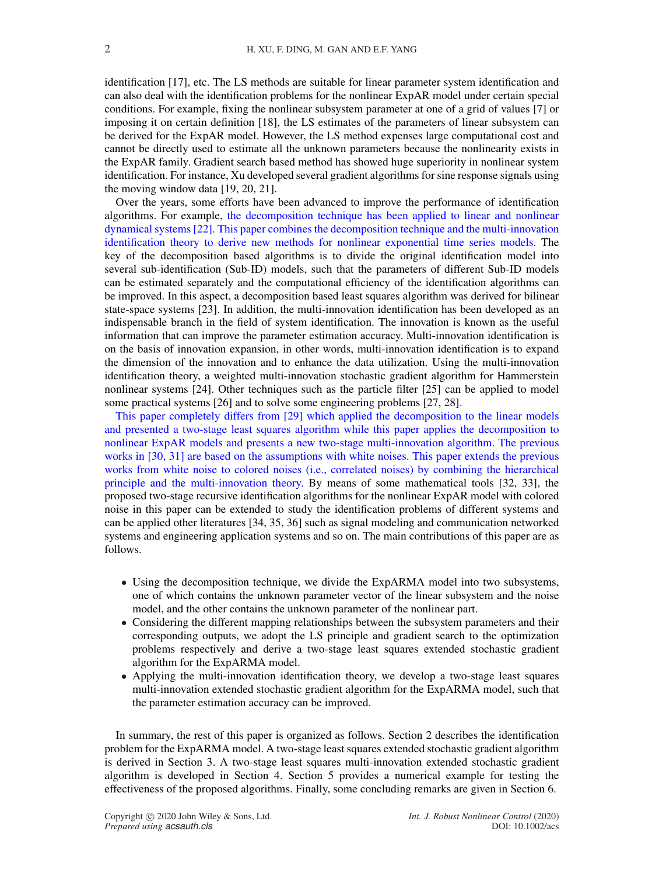identification [17], etc. The LS methods are suitable for linear parameter system identification and can also deal with the identification problems for the nonlinear ExpAR model under certain special conditions. For example, fixing the nonlinear subsystem parameter at one of a grid of values [7] or imposing it on certain definition [18], the LS estimates of the parameters of linear subsystem can be derived for the ExpAR model. However, the LS method expenses large computational cost and cannot be directly used to estimate all the unknown parameters because the nonlinearity exists in the ExpAR family. Gradient search based method has showed huge superiority in nonlinear system identification. For instance, Xu developed several gradient algorithms for sine response signals using the moving window data [19, 20, 21].

Over the years, some efforts have been advanced to improve the performance of identification algorithms. For example, the decomposition technique has been applied to linear and nonlinear dynamical systems [22]. This paper combines the decomposition technique and the multi-innovation identification theory to derive new methods for nonlinear exponential time series models. The key of the decomposition based algorithms is to divide the original identification model into several sub-identification (Sub-ID) models, such that the parameters of different Sub-ID models can be estimated separately and the computational efficiency of the identification algorithms can be improved. In this aspect, a decomposition based least squares algorithm was derived for bilinear state-space systems [23]. In addition, the multi-innovation identification has been developed as an indispensable branch in the field of system identification. The innovation is known as the useful information that can improve the parameter estimation accuracy. Multi-innovation identification is on the basis of innovation expansion, in other words, multi-innovation identification is to expand the dimension of the innovation and to enhance the data utilization. Using the multi-innovation identification theory, a weighted multi-innovation stochastic gradient algorithm for Hammerstein nonlinear systems [24]. Other techniques such as the particle filter [25] can be applied to model some practical systems [26] and to solve some engineering problems [27, 28].

This paper completely differs from [29] which applied the decomposition to the linear models and presented a two-stage least squares algorithm while this paper applies the decomposition to nonlinear ExpAR models and presents a new two-stage multi-innovation algorithm. The previous works in [30, 31] are based on the assumptions with white noises. This paper extends the previous works from white noise to colored noises (i.e., correlated noises) by combining the hierarchical principle and the multi-innovation theory. By means of some mathematical tools [32, 33], the proposed two-stage recursive identification algorithms for the nonlinear ExpAR model with colored noise in this paper can be extended to study the identification problems of different systems and can be applied other literatures [34, 35, 36] such as signal modeling and communication networked systems and engineering application systems and so on. The main contributions of this paper are as follows.

- Using the decomposition technique, we divide the ExpARMA model into two subsystems, one of which contains the unknown parameter vector of the linear subsystem and the noise model, and the other contains the unknown parameter of the nonlinear part.
- Considering the different mapping relationships between the subsystem parameters and their corresponding outputs, we adopt the LS principle and gradient search to the optimization problems respectively and derive a two-stage least squares extended stochastic gradient algorithm for the ExpARMA model.
- Applying the multi-innovation identification theory, we develop a two-stage least squares multi-innovation extended stochastic gradient algorithm for the ExpARMA model, such that the parameter estimation accuracy can be improved.

In summary, the rest of this paper is organized as follows. Section 2 describes the identification problem for the ExpARMA model. A two-stage least squares extended stochastic gradient algorithm is derived in Section 3. A two-stage least squares multi-innovation extended stochastic gradient algorithm is developed in Section 4. Section 5 provides a numerical example for testing the effectiveness of the proposed algorithms. Finally, some concluding remarks are given in Section 6.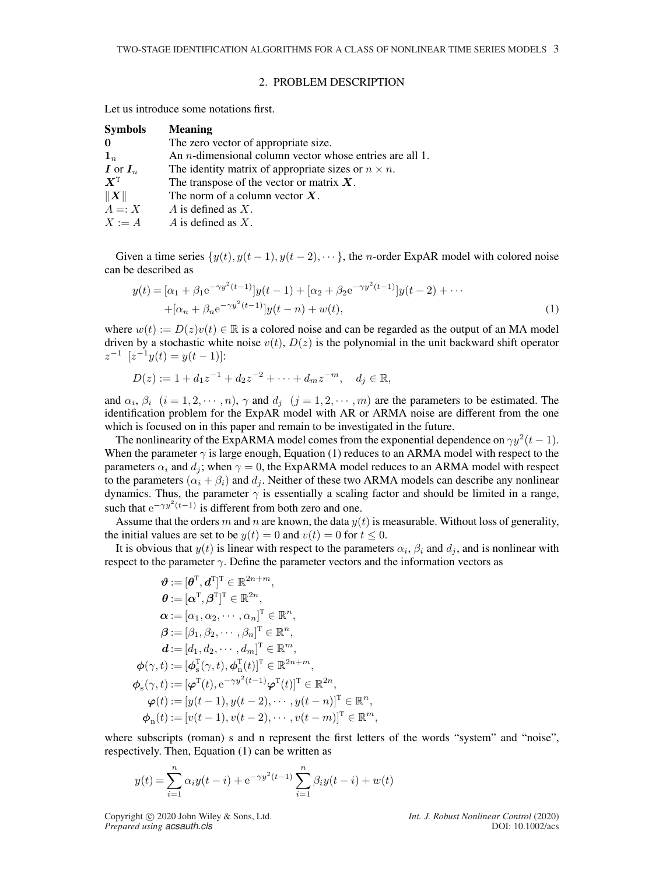### 2. PROBLEM DESCRIPTION

Let us introduce some notations first.

| <b>Symbols</b>                         | <b>Meaning</b>                                                  |
|----------------------------------------|-----------------------------------------------------------------|
| $\mathbf{0}$                           | The zero vector of appropriate size.                            |
| $\mathbf{1}_n$                         | An <i>n</i> -dimensional column vector whose entries are all 1. |
| $\boldsymbol{I}$ or $\boldsymbol{I}_n$ | The identity matrix of appropriate sizes or $n \times n$ .      |
| $X^{\rm T}$                            | The transpose of the vector or matrix $X$ .                     |
| $\ X\ $                                | The norm of a column vector $X$ .                               |
| $A =: X$                               | A is defined as $X$ .                                           |
| $X := A$                               | A is defined as $X$ .                                           |

Given a time series  $\{y(t), y(t-1), y(t-2), \cdots\}$ , the *n*-order ExpAR model with colored noise can be described as

$$
y(t) = [\alpha_1 + \beta_1 e^{-\gamma y^2 (t-1)}] y(t-1) + [\alpha_2 + \beta_2 e^{-\gamma y^2 (t-1)}] y(t-2) + \cdots + [\alpha_n + \beta_n e^{-\gamma y^2 (t-1)}] y(t-n) + w(t),
$$
\n(1)

where  $w(t) := D(z)v(t) \in \mathbb{R}$  is a colored noise and can be regarded as the output of an MA model driven by a stochastic white noise  $v(t)$ ,  $D(z)$  is the polynomial in the unit backward shift operator  $z^{-1}$   $[z^{-1}y(t) = y(t-1)]$ :

$$
D(z) := 1 + d_1 z^{-1} + d_2 z^{-2} + \dots + d_m z^{-m}, \quad d_j \in \mathbb{R},
$$

and  $\alpha_i$ ,  $\beta_i$   $(i = 1, 2, \dots, n)$ ,  $\gamma$  and  $d_j$   $(j = 1, 2, \dots, m)$  are the parameters to be estimated. The identification problem for the ExpAR model with AR or ARMA noise are different from the one which is focused on in this paper and remain to be investigated in the future.

The nonlinearity of the ExpARMA model comes from the exponential dependence on  $\gamma y^2(t-1)$ . When the parameter  $\gamma$  is large enough, Equation (1) reduces to an ARMA model with respect to the parameters  $\alpha_i$  and  $d_j$ ; when  $\gamma = 0$ , the ExpARMA model reduces to an ARMA model with respect to the parameters ( $\alpha_i + \beta_i$ ) and  $d_i$ . Neither of these two ARMA models can describe any nonlinear dynamics. Thus, the parameter  $\gamma$  is essentially a scaling factor and should be limited in a range, such that  $e^{-\gamma y^2(t-1)}$  is different from both zero and one.

Assume that the orders m and n are known, the data  $y(t)$  is measurable. Without loss of generality, the initial values are set to be  $y(t) = 0$  and  $v(t) = 0$  for  $t \le 0$ .

It is obvious that  $y(t)$  is linear with respect to the parameters  $\alpha_i$ ,  $\beta_i$  and  $d_j$ , and is nonlinear with respect to the parameter  $\gamma$ . Define the parameter vectors and the information vectors as

$$
\mathbf{\hat{\theta}} := [\mathbf{\hat{\theta}}^{\mathrm{T}}, \mathbf{d}^{\mathrm{T}}]^{\mathrm{T}} \in \mathbb{R}^{2n+m}, \n\mathbf{\hat{\theta}} := [\alpha^{\mathrm{T}}, \beta^{\mathrm{T}}]^{\mathrm{T}} \in \mathbb{R}^{2n}, \n\alpha := [\alpha_1, \alpha_2, \cdots, \alpha_n]^{\mathrm{T}} \in \mathbb{R}^n, \n\mathbf{\hat{\beta}} := [\beta_1, \beta_2, \cdots, \beta_n]^{\mathrm{T}} \in \mathbb{R}^n, \n\mathbf{\hat{d}} := [d_1, d_2, \cdots, d_m]^{\mathrm{T}} \in \mathbb{R}^m, \n\phi(\gamma, t) := [\phi_s^{\mathrm{T}}(\gamma, t), \phi_n^{\mathrm{T}}(t)]^{\mathrm{T}} \in \mathbb{R}^{2n+m}, \n\phi_s(\gamma, t) := [\varphi^{\mathrm{T}}(t), e^{-\gamma y^2(t-1)} \varphi^{\mathrm{T}}(t)]^{\mathrm{T}} \in \mathbb{R}^{2n}, \n\varphi(t) := [y(t-1), y(t-2), \cdots, y(t-n)]^{\mathrm{T}} \in \mathbb{R}^n, \n\phi_n(t) := [v(t-1), v(t-2), \cdots, v(t-m)]^{\mathrm{T}} \in \mathbb{R}^m,
$$

where subscripts (roman) s and n represent the first letters of the words "system" and "noise", respectively. Then, Equation (1) can be written as

$$
y(t) = \sum_{i=1}^{n} \alpha_i y(t-i) + e^{-\gamma y^2(t-1)} \sum_{i=1}^{n} \beta_i y(t-i) + w(t)
$$

Copyright °c 2020 John Wiley & Sons, Ltd. *Int. J. Robust Nonlinear Control* (2020) *Prepared using acsauth.cls* DOI: 10.1002/acs

 $\phi$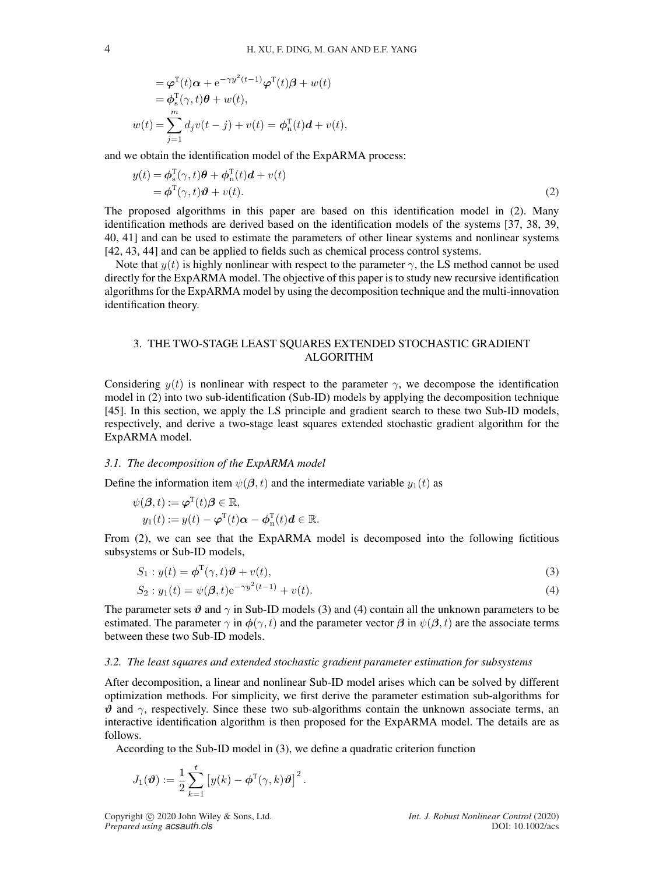$$
= \varphi^{T}(t)\alpha + e^{-\gamma y^{2}(t-1)}\varphi^{T}(t)\beta + w(t)
$$
  
\n
$$
= \varphi_{s}^{T}(\gamma, t)\theta + w(t),
$$
  
\n
$$
w(t) = \sum_{j=1}^{m} d_{j}v(t-j) + v(t) = \varphi_{n}^{T}(t)d + v(t),
$$

and we obtain the identification model of the ExpARMA process:

$$
y(t) = \phi_s^{\mathrm{T}}(\gamma, t)\theta + \phi_{\mathrm{n}}^{\mathrm{T}}(t)d + v(t)
$$
  
=  $\phi^{\mathrm{T}}(\gamma, t)\theta + v(t).$  (2)

The proposed algorithms in this paper are based on this identification model in (2). Many identification methods are derived based on the identification models of the systems [37, 38, 39, 40, 41] and can be used to estimate the parameters of other linear systems and nonlinear systems [42, 43, 44] and can be applied to fields such as chemical process control systems.

Note that  $y(t)$  is highly nonlinear with respect to the parameter  $\gamma$ , the LS method cannot be used directly for the ExpARMA model. The objective of this paper is to study new recursive identification algorithms for the ExpARMA model by using the decomposition technique and the multi-innovation identification theory.

# 3. THE TWO-STAGE LEAST SQUARES EXTENDED STOCHASTIC GRADIENT ALGORITHM

Considering  $y(t)$  is nonlinear with respect to the parameter  $\gamma$ , we decompose the identification model in (2) into two sub-identification (Sub-ID) models by applying the decomposition technique [45]. In this section, we apply the LS principle and gradient search to these two Sub-ID models, respectively, and derive a two-stage least squares extended stochastic gradient algorithm for the ExpARMA model.

### *3.1. The decomposition of the ExpARMA model*

Define the information item  $\psi(\beta, t)$  and the intermediate variable  $y_1(t)$  as

$$
\psi(\boldsymbol{\beta},t) := \boldsymbol{\varphi}^{\mathrm{T}}(t)\boldsymbol{\beta} \in \mathbb{R},
$$
  

$$
y_1(t) := y(t) - \boldsymbol{\varphi}^{\mathrm{T}}(t)\boldsymbol{\alpha} - \boldsymbol{\phi}_n^{\mathrm{T}}(t)\boldsymbol{d} \in \mathbb{R}.
$$

From (2), we can see that the ExpARMA model is decomposed into the following fictitious subsystems or Sub-ID models,

$$
S_1: y(t) = \boldsymbol{\phi}^{\mathrm{T}}(\gamma, t)\boldsymbol{\vartheta} + v(t),
$$
\n(3)

$$
S_2: y_1(t) = \psi(\beta, t) e^{-\gamma y^2(t-1)} + v(t).
$$
\n(4)

The parameter sets  $\vartheta$  and  $\gamma$  in Sub-ID models (3) and (4) contain all the unknown parameters to be estimated. The parameter  $\gamma$  in  $\phi(\gamma, t)$  and the parameter vector  $\beta$  in  $\psi(\beta, t)$  are the associate terms between these two Sub-ID models.

### *3.2. The least squares and extended stochastic gradient parameter estimation for subsystems*

After decomposition, a linear and nonlinear Sub-ID model arises which can be solved by different optimization methods. For simplicity, we first derive the parameter estimation sub-algorithms for  $\vartheta$  and  $\gamma$ , respectively. Since these two sub-algorithms contain the unknown associate terms, an interactive identification algorithm is then proposed for the ExpARMA model. The details are as follows.

According to the Sub-ID model in (3), we define a quadratic criterion function

$$
J_1(\boldsymbol{\vartheta}) := \frac{1}{2} \sum_{k=1}^t \left[ y(k) - \boldsymbol{\phi}^{\mathrm{T}}(\gamma, k) \boldsymbol{\vartheta} \right]^2.
$$

Copyright °c 2020 John Wiley & Sons, Ltd. *Int. J. Robust Nonlinear Control* (2020) *Prepared using acsauth.cls* DOI: 10.1002/acs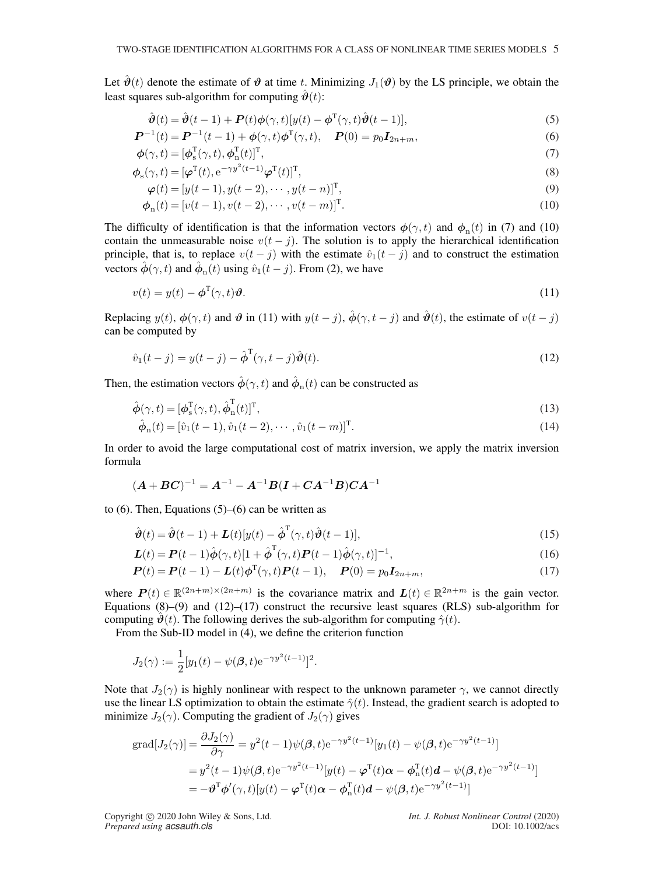Let  $\hat{\theta}(t)$  denote the estimate of  $\theta$  at time t. Minimizing  $J_1(\theta)$  by the LS principle, we obtain the least squares sub-algorithm for computing  $\hat{\boldsymbol{\vartheta}}(t)$ :

$$
\hat{\boldsymbol{\vartheta}}(t) = \hat{\boldsymbol{\vartheta}}(t-1) + \boldsymbol{P}(t)\boldsymbol{\phi}(\gamma, t)[y(t) - \boldsymbol{\phi}^{\mathrm{T}}(\gamma, t)\hat{\boldsymbol{\vartheta}}(t-1)],\tag{5}
$$

$$
\boldsymbol{P}^{-1}(t) = \boldsymbol{P}^{-1}(t-1) + \phi(\gamma, t)\phi^{\mathrm{T}}(\gamma, t), \quad \boldsymbol{P}(0) = p_0 \boldsymbol{I}_{2n+m}, \tag{6}
$$

$$
\boldsymbol{\phi}(\gamma, t) = [\boldsymbol{\phi}_{\rm s}^{\rm T}(\gamma, t), \boldsymbol{\phi}_{\rm n}^{\rm T}(t)]^{\rm T},\tag{7}
$$

$$
\phi_{s}(\gamma, t) = [\varphi^{T}(t), e^{-\gamma y^{2}(t-1)} \varphi^{T}(t)]^{T},
$$
\n(8)

$$
\varphi(t) = [y(t-1), y(t-2), \cdots, y(t-n)]^{\mathrm{T}}, \tag{9}
$$

$$
\phi_n(t) = [v(t-1), v(t-2), \cdots, v(t-m)]^T.
$$
\n(10)

The difficulty of identification is that the information vectors  $\phi(\gamma, t)$  and  $\phi_n(t)$  in (7) and (10) contain the unmeasurable noise  $v(t - j)$ . The solution is to apply the hierarchical identification principle, that is, to replace  $v(t - j)$  with the estimate  $\hat{v}_1(t - j)$  and to construct the estimation vectors  $\hat{\phi}(\gamma, t)$  and  $\hat{\phi}_{n}(t)$  using  $\hat{v}_{1}(t - j)$ . From (2), we have

$$
v(t) = y(t) - \phi^{\mathrm{T}}(\gamma, t)\vartheta.
$$
\n(11)

Replacing  $y(t)$ ,  $\phi(\gamma, t)$  and  $\vartheta$  in (11) with  $y(t - j)$ ,  $\hat{\phi}(\gamma, t - j)$  and  $\hat{\vartheta}(t)$ , the estimate of  $v(t - j)$ can be computed by

$$
\hat{v}_1(t-j) = y(t-j) - \hat{\boldsymbol{\phi}}^{\mathrm{T}}(\gamma, t-j)\hat{\boldsymbol{\vartheta}}(t). \tag{12}
$$

Then, the estimation vectors  $\hat{\phi}(\gamma, t)$  and  $\hat{\phi}_{n}(t)$  can be constructed as

$$
\hat{\boldsymbol{\phi}}(\gamma, t) = [\boldsymbol{\phi}_s^{\mathrm{T}}(\gamma, t), \hat{\boldsymbol{\phi}}_n^{\mathrm{T}}(t)]^{\mathrm{T}},\tag{13}
$$

$$
\hat{\phi}_n(t) = [\hat{v}_1(t-1), \hat{v}_1(t-2), \cdots, \hat{v}_1(t-m)]^T.
$$
\n(14)

In order to avoid the large computational cost of matrix inversion, we apply the matrix inversion formula

$$
(A + BC)^{-1} = A^{-1} - A^{-1}B(I + CA^{-1}B)CA^{-1}
$$

to  $(6)$ . Then, Equations  $(5)$ – $(6)$  can be written as

$$
\hat{\boldsymbol{\vartheta}}(t) = \hat{\boldsymbol{\vartheta}}(t-1) + \boldsymbol{L}(t)[y(t) - \hat{\boldsymbol{\varphi}}^{\mathrm{T}}(\gamma, t)\hat{\boldsymbol{\vartheta}}(t-1)],\tag{15}
$$

$$
\mathbf{L}(t) = \mathbf{P}(t-1)\hat{\boldsymbol{\phi}}(\gamma, t)[1 + \hat{\boldsymbol{\phi}}^{\mathrm{T}}(\gamma, t)\mathbf{P}(t-1)\hat{\boldsymbol{\phi}}(\gamma, t)]^{-1},
$$
\n(16)

$$
\boldsymbol{P}(t) = \boldsymbol{P}(t-1) - \boldsymbol{L}(t)\boldsymbol{\phi}^{T}(\gamma, t)\boldsymbol{P}(t-1), \quad \boldsymbol{P}(0) = p_{0}\boldsymbol{I}_{2n+m}, \tag{17}
$$

where  $P(t) \in \mathbb{R}^{(2n+m)\times(2n+m)}$  is the covariance matrix and  $L(t) \in \mathbb{R}^{2n+m}$  is the gain vector. Equations  $(8)$ – $(9)$  and  $(12)$ – $(17)$  construct the recursive least squares (RLS) sub-algorithm for computing  $\hat{\mathcal{Y}}(t)$ . The following derives the sub-algorithm for computing  $\hat{\gamma}(t)$ .

From the Sub-ID model in (4), we define the criterion function

$$
J_2(\gamma) := \frac{1}{2} [y_1(t) - \psi(\beta, t) e^{-\gamma y^2(t-1)}]^2.
$$

Note that  $J_2(\gamma)$  is highly nonlinear with respect to the unknown parameter  $\gamma$ , we cannot directly use the linear LS optimization to obtain the estimate  $\hat{\gamma}(t)$ . Instead, the gradient search is adopted to minimize  $J_2(\gamma)$ . Computing the gradient of  $J_2(\gamma)$  gives

$$
\begin{split} \text{grad}[J_{2}(\gamma)] &= \frac{\partial J_{2}(\gamma)}{\partial \gamma} = y^{2}(t-1)\psi(\boldsymbol{\beta},t)e^{-\gamma y^{2}(t-1)}[y_{1}(t) - \psi(\boldsymbol{\beta},t)e^{-\gamma y^{2}(t-1)}] \\ &= y^{2}(t-1)\psi(\boldsymbol{\beta},t)e^{-\gamma y^{2}(t-1)}[y(t) - \boldsymbol{\varphi}^{\mathrm{T}}(t)\boldsymbol{\alpha} - \boldsymbol{\phi}_{\mathrm{n}}^{\mathrm{T}}(t)\boldsymbol{d} - \psi(\boldsymbol{\beta},t)e^{-\gamma y^{2}(t-1)}] \\ &= -\boldsymbol{\vartheta}^{\mathrm{T}}\boldsymbol{\phi}'(\gamma,t)[y(t) - \boldsymbol{\varphi}^{\mathrm{T}}(t)\boldsymbol{\alpha} - \boldsymbol{\phi}_{\mathrm{n}}^{\mathrm{T}}(t)\boldsymbol{d} - \psi(\boldsymbol{\beta},t)e^{-\gamma y^{2}(t-1)}] \end{split}
$$

Copyright °c 2020 John Wiley & Sons, Ltd. *Int. J. Robust Nonlinear Control* (2020) *Prepared using acsauth.cls* DOI: 10.1002/acs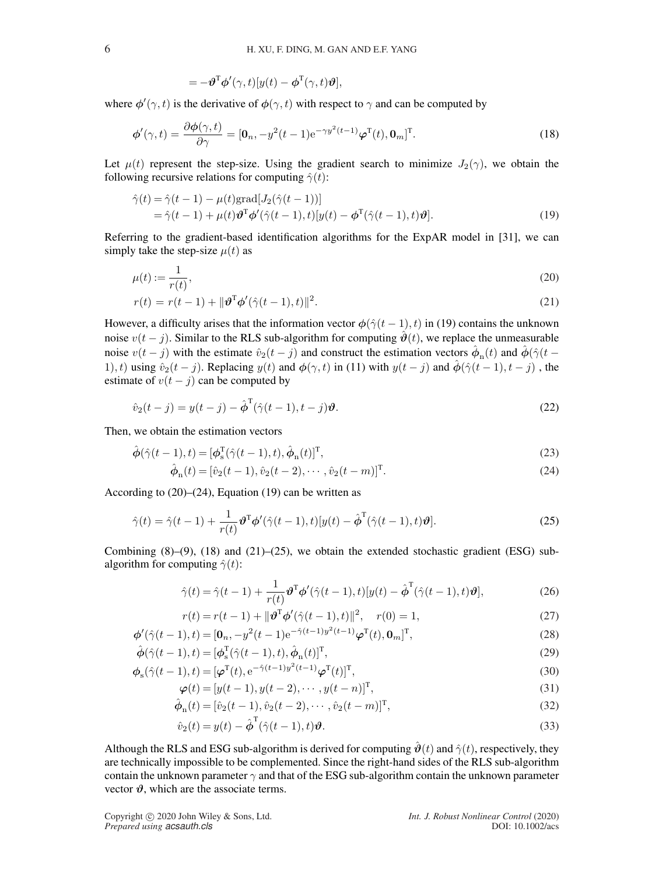$$
= -\boldsymbol{\vartheta}^{\mathrm{T}} \boldsymbol{\phi}'(\gamma, t) [y(t) - \boldsymbol{\phi}^{\mathrm{T}}(\gamma, t) \boldsymbol{\vartheta}],
$$

where  $\phi'(\gamma, t)$  is the derivative of  $\phi(\gamma, t)$  with respect to  $\gamma$  and can be computed by

$$
\boldsymbol{\phi}'(\gamma, t) = \frac{\partial \boldsymbol{\phi}(\gamma, t)}{\partial \gamma} = [\mathbf{0}_n, -y^2(t-1) e^{-\gamma y^2(t-1)} \boldsymbol{\varphi}^{\mathrm{T}}(t), \mathbf{0}_m]^{\mathrm{T}}.
$$
\n(18)

Let  $\mu(t)$  represent the step-size. Using the gradient search to minimize  $J_2(\gamma)$ , we obtain the following recursive relations for computing  $\hat{\gamma}(t)$ :

$$
\hat{\gamma}(t) = \hat{\gamma}(t-1) - \mu(t) \text{grad}[J_2(\hat{\gamma}(t-1))]
$$
  
=  $\hat{\gamma}(t-1) + \mu(t) \boldsymbol{\vartheta}^{\mathrm{T}} \boldsymbol{\varphi}'(\hat{\gamma}(t-1), t) [y(t) - \boldsymbol{\varphi}^{\mathrm{T}}(\hat{\gamma}(t-1), t) \boldsymbol{\vartheta}].$  (19)

Referring to the gradient-based identification algorithms for the ExpAR model in [31], we can simply take the step-size  $\mu(t)$  as

$$
\mu(t) := \frac{1}{r(t)},\tag{20}
$$

$$
r(t) = r(t-1) + ||\boldsymbol{\vartheta}^{T}\boldsymbol{\varphi}'(\hat{\gamma}(t-1), t)||^{2}.
$$
 (21)

However, a difficulty arises that the information vector  $\phi(\hat{\gamma}(t-1), t)$  in (19) contains the unknown noise  $v(t - j)$ . Similar to the RLS sub-algorithm for computing  $\hat{\theta}(t)$ , we replace the unmeasurable noise  $v(t-j)$  with the estimate  $\hat{v}_2(t-j)$  and construct the estimation vectors  $\hat{\phi}_{n}(t)$  and  $\hat{\phi}(\hat{\gamma}(t-\hat{\gamma}))$ 1), t) using  $\hat{v}_2(t-j)$ . Replacing  $y(t)$  and  $\phi(\gamma, t)$  in (11) with  $y(t-j)$  and  $\hat{\phi}(\hat{\gamma}(t-1), t-j)$ , the estimate of  $v(t - j)$  can be computed by

$$
\hat{v}_2(t-j) = y(t-j) - \hat{\boldsymbol{\phi}}^{\mathrm{T}}(\hat{\gamma}(t-1), t-j)\boldsymbol{\vartheta}.
$$
\n(22)

Then, we obtain the estimation vectors

$$
\hat{\boldsymbol{\phi}}(\hat{\gamma}(t-1),t) = [\boldsymbol{\phi}_s^{\mathrm{T}}(\hat{\gamma}(t-1),t), \hat{\boldsymbol{\phi}}_n(t)]^{\mathrm{T}},\tag{23}
$$

$$
\hat{\phi}_n(t) = [\hat{v}_2(t-1), \hat{v}_2(t-2), \cdots, \hat{v}_2(t-m)]^T.
$$
\n(24)

According to  $(20)$ – $(24)$ , Equation  $(19)$  can be written as

$$
\hat{\gamma}(t) = \hat{\gamma}(t-1) + \frac{1}{r(t)} \boldsymbol{\vartheta}^{\mathrm{T}} \boldsymbol{\varphi}'(\hat{\gamma}(t-1), t) [y(t) - \hat{\boldsymbol{\varphi}}^{\mathrm{T}}(\hat{\gamma}(t-1), t) \boldsymbol{\vartheta}]. \tag{25}
$$

Combining  $(8)$ – $(9)$ ,  $(18)$  and  $(21)$ – $(25)$ , we obtain the extended stochastic gradient (ESG) subalgorithm for computing  $\hat{\gamma}(t)$ :

$$
\hat{\gamma}(t) = \hat{\gamma}(t-1) + \frac{1}{r(t)} \boldsymbol{\vartheta}^{\mathrm{T}} \boldsymbol{\varphi}'(\hat{\gamma}(t-1), t) [y(t) - \hat{\boldsymbol{\varphi}}^{\mathrm{T}}(\hat{\gamma}(t-1), t) \boldsymbol{\vartheta}], \tag{26}
$$

$$
r(t) = r(t-1) + ||\boldsymbol{\vartheta}^{T}\boldsymbol{\varphi}'(\hat{\gamma}(t-1), t)||^{2}, \quad r(0) = 1,
$$
\n(27)

$$
\phi'(\hat{\gamma}(t-1),t) = [\mathbf{0}_n, -y^2(t-1)e^{-\hat{\gamma}(t-1)y^2(t-1)}\boldsymbol{\varphi}^{\mathrm{T}}(t), \mathbf{0}_m]^{\mathrm{T}},
$$
\n(28)

$$
\hat{\boldsymbol{\phi}}(\hat{\gamma}(t-1),t) = [\boldsymbol{\phi}_s^{\mathrm{T}}(\hat{\gamma}(t-1),t),\hat{\boldsymbol{\phi}}_n(t)]^{\mathrm{T}},\tag{29}
$$

$$
\boldsymbol{\phi}_{\mathbf{s}}(\hat{\gamma}(t-1),t) = [\boldsymbol{\varphi}^{\mathrm{T}}(t), e^{-\hat{\gamma}(t-1)y^{2}(t-1)}\boldsymbol{\varphi}^{\mathrm{T}}(t)]^{\mathrm{T}},
$$
\n(30)

$$
\boldsymbol{\varphi}(t) = [y(t-1), y(t-2), \cdots, y(t-n)]^{\mathrm{T}}, \tag{31}
$$

$$
\hat{\phi}_{n}(t) = [\hat{v}_{2}(t-1), \hat{v}_{2}(t-2), \cdots, \hat{v}_{2}(t-m)]^{T},
$$
\n(32)

$$
\hat{v}_2(t) = y(t) - \hat{\boldsymbol{\phi}}^{\mathrm{T}}(\hat{\gamma}(t-1), t)\boldsymbol{\vartheta}.
$$
\n(33)

Although the RLS and ESG sub-algorithm is derived for computing  $\hat{\theta}(t)$  and  $\hat{\gamma}(t)$ , respectively, they are technically impossible to be complemented. Since the right-hand sides of the RLS sub-algorithm contain the unknown parameter  $\gamma$  and that of the ESG sub-algorithm contain the unknown parameter vector  $\vartheta$ , which are the associate terms.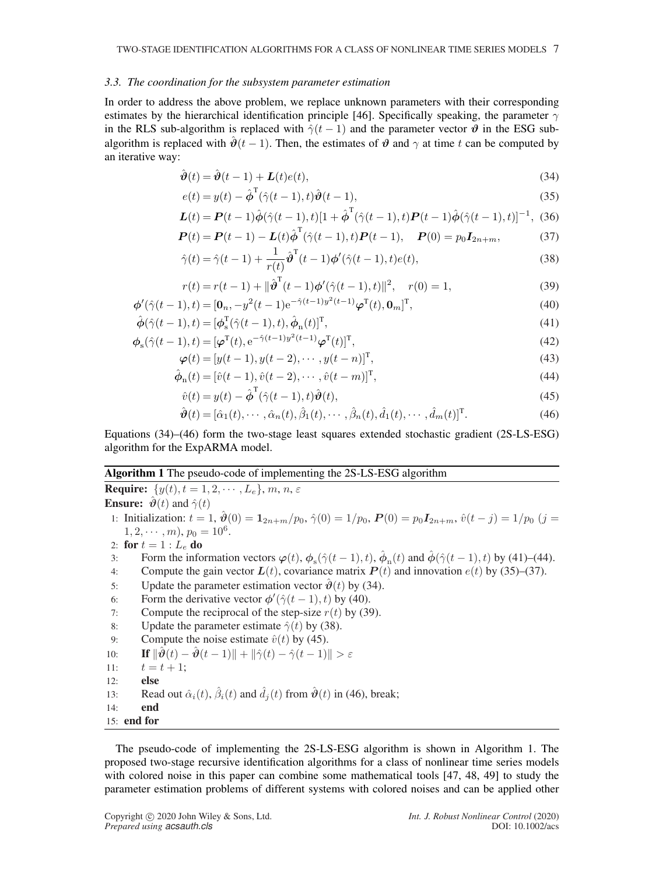### *3.3. The coordination for the subsystem parameter estimation*

In order to address the above problem, we replace unknown parameters with their corresponding estimates by the hierarchical identification principle [46]. Specifically speaking, the parameter  $\gamma$ in the RLS sub-algorithm is replaced with  $\hat{\gamma}(t-1)$  and the parameter vector  $\hat{\theta}$  in the ESG subalgorithm is replaced with  $\hat{\theta}$ (t − 1). Then, the estimates of  $\theta$  and  $\gamma$  at time t can be computed by an iterative way:

$$
\hat{\boldsymbol{\vartheta}}(t) = \hat{\boldsymbol{\vartheta}}(t-1) + \boldsymbol{L}(t)e(t),\tag{34}
$$

$$
e(t) = y(t) - \hat{\boldsymbol{\phi}}^{\mathrm{T}}(\hat{\gamma}(t-1), t)\hat{\boldsymbol{\theta}}(t-1),
$$
\n(35)

$$
\mathbf{L}(t) = \mathbf{P}(t-1)\hat{\boldsymbol{\phi}}(\hat{\gamma}(t-1),t)[1+\hat{\boldsymbol{\phi}}^{\mathrm{T}}(\hat{\gamma}(t-1),t)\mathbf{P}(t-1)\hat{\boldsymbol{\phi}}(\hat{\gamma}(t-1),t)]^{-1}, (36)
$$

$$
\boldsymbol{P}(t) = \boldsymbol{P}(t-1) - \boldsymbol{L}(t)\hat{\boldsymbol{\phi}}^{\mathrm{T}}(\hat{\gamma}(t-1), t)\boldsymbol{P}(t-1), \quad \boldsymbol{P}(0) = p_0 \boldsymbol{I}_{2n+m}, \tag{37}
$$

$$
\hat{\gamma}(t) = \hat{\gamma}(t-1) + \frac{1}{r(t)} \hat{\boldsymbol{\vartheta}}^{T}(t-1) \boldsymbol{\varphi}'(\hat{\gamma}(t-1), t) e(t), \qquad (38)
$$

$$
r(t) = r(t-1) + ||\hat{\boldsymbol{\vartheta}}^{T}(t-1)\boldsymbol{\varphi}'(\hat{\gamma}(t-1),t)||^{2}, \quad r(0) = 1,
$$
\n(39)

$$
\phi'(\hat{\gamma}(t-1),t) = [\mathbf{0}_n, -y^2(t-1)e^{-\hat{\gamma}(t-1)y^2(t-1)}\varphi^{\mathrm{T}}(t), \mathbf{0}_m]^{\mathrm{T}},
$$
\n
$$
\hat{\phi}(\hat{\gamma}(t-1),t) = [\phi^{\mathrm{T}}_s(\hat{\gamma}(t-1),t), \hat{\phi}_n(t)]^{\mathrm{T}},
$$
\n(41)

$$
\phi_{\mathbf{s}}(\hat{\gamma}(t-1),t) = [\varphi^{\mathrm{T}}(t), e^{-\hat{\gamma}(t-1)y^2(t-1)}\varphi^{\mathrm{T}}(t)]^{\mathrm{T}},\tag{42}
$$

$$
\boldsymbol{\varphi}(t) = [y(t-1), y(t-2), \cdots, y(t-n)]^{\mathrm{T}}, \tag{43}
$$

$$
\hat{\phi}_{n}(t) = [\hat{v}(t-1), \hat{v}(t-2), \cdots, \hat{v}(t-m)]^{T},
$$
\n(44)

$$
\hat{v}(t) = y(t) - \hat{\boldsymbol{\phi}}^{\mathrm{T}}(\hat{\gamma}(t-1), t)\hat{\boldsymbol{\theta}}(t),\tag{45}
$$

$$
\hat{\boldsymbol{\vartheta}}(t) = [\hat{\alpha}_1(t), \cdots, \hat{\alpha}_n(t), \hat{\beta}_1(t), \cdots, \hat{\beta}_n(t), \hat{d}_1(t), \cdots, \hat{d}_m(t)]^{\mathrm{T}}.
$$
\n(46)

Equations (34)–(46) form the two-stage least squares extended stochastic gradient (2S-LS-ESG) algorithm for the ExpARMA model.

# Algorithm 1 The pseudo-code of implementing the 2S-LS-ESG algorithm

**Require:**  $\{y(t), t = 1, 2, \cdots, L_e\}, m, n, \varepsilon$ **Ensure:**  $\hat{\boldsymbol{\vartheta}}(t)$  and  $\hat{\gamma}(t)$ 

1: Initialization:  $t = 1$ ,  $\hat{\theta}(0) = \mathbf{1}_{2n+m}/p_0$ ,  $\hat{\gamma}(0) = 1/p_0$ ,  $P(0) = p_0 I_{2n+m}$ ,  $\hat{v}(t - j) = 1/p_0$  ( $j =$  $1, 2, \cdots, m$ ,  $p_0 = 10^6$ .

- 2: for  $t=1: L_e$  do
- 3: Form the information vectors  $\varphi(t)$ ,  $\phi_s(\hat{\gamma}(t-1), t)$ ,  $\hat{\phi}_n(t)$  and  $\hat{\phi}(\hat{\gamma}(t-1), t)$  by (41)–(44).
- 4: Compute the gain vector  $L(t)$ , covariance matrix  $P(t)$  and innovation  $e(t)$  by (35)–(37).
- 5: Update the parameter estimation vector  $\hat{\boldsymbol{\vartheta}}(t)$  by (34).
- 6: Form the derivative vector  $\phi'(\hat{\gamma}(t-1), t)$  by (40).
- 7: Compute the reciprocal of the step-size  $r(t)$  by (39).
- 8: Update the parameter estimate  $\hat{\gamma}(t)$  by (38).
- 9: Compute the noise estimate  $\hat{v}(t)$  by (45).

10: If 
$$
\|\hat{\boldsymbol{\vartheta}}(t) - \hat{\boldsymbol{\vartheta}}(t-1)\| + \|\hat{\gamma}(t) - \hat{\gamma}(t-1)\| > \varepsilon
$$

- 11:  $t = t + 1$ ;
- $12<sup>°</sup>$  else
- 13: Read out  $\hat{\alpha}_i(t)$ ,  $\hat{\beta}_i(t)$  and  $\hat{d}_j(t)$  from  $\hat{\boldsymbol{\vartheta}}(t)$  in (46), break;
- 14: end
- 15: end for

The pseudo-code of implementing the 2S-LS-ESG algorithm is shown in Algorithm 1. The proposed two-stage recursive identification algorithms for a class of nonlinear time series models with colored noise in this paper can combine some mathematical tools [47, 48, 49] to study the parameter estimation problems of different systems with colored noises and can be applied other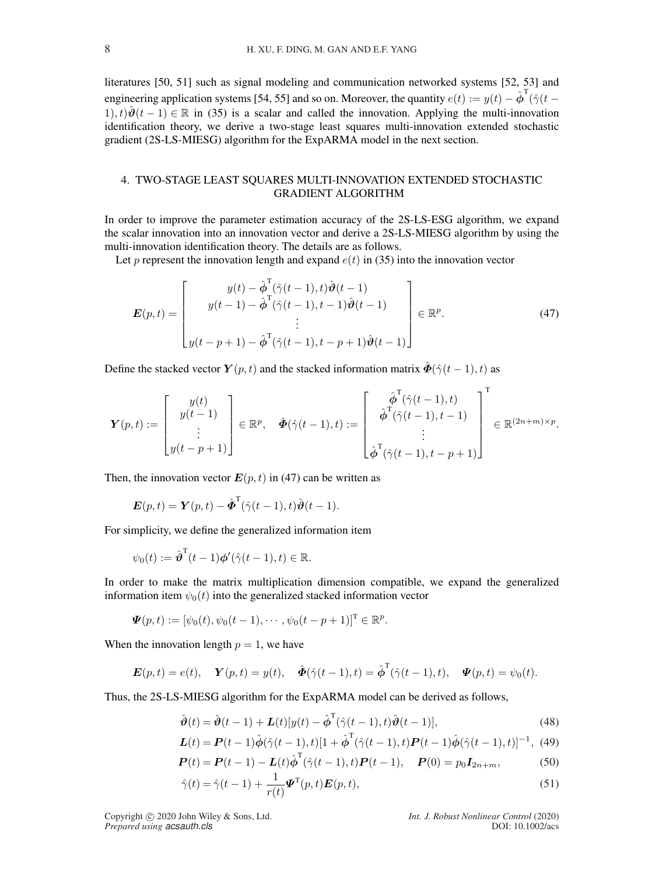literatures [50, 51] such as signal modeling and communication networked systems [52, 53] and engineering application systems [54, 55] and so on. Moreover, the quantity  $e(t) := y(t) - \hat{\phi}^T(\hat{\gamma}(t -$ 1),  $t\mathcal{W}(\hat{\theta}(t-1)) \in \mathbb{R}$  in (35) is a scalar and called the innovation. Applying the multi-innovation identification theory, we derive a two-stage least squares multi-innovation extended stochastic gradient (2S-LS-MIESG) algorithm for the ExpARMA model in the next section.

# 4. TWO-STAGE LEAST SQUARES MULTI-INNOVATION EXTENDED STOCHASTIC GRADIENT ALGORITHM

In order to improve the parameter estimation accuracy of the 2S-LS-ESG algorithm, we expand the scalar innovation into an innovation vector and derive a 2S-LS-MIESG algorithm by using the multi-innovation identification theory. The details are as follows.

Let p represent the innovation length and expand  $e(t)$  in (35) into the innovation vector

$$
\boldsymbol{E}(p,t) = \begin{bmatrix} y(t) - \hat{\boldsymbol{\phi}}^{\mathrm{T}}(\hat{\gamma}(t-1),t)\hat{\boldsymbol{\vartheta}}(t-1) \\ y(t-1) - \hat{\boldsymbol{\phi}}^{\mathrm{T}}(\hat{\gamma}(t-1),t-1)\hat{\boldsymbol{\vartheta}}(t-1) \\ \vdots \\ y(t-p+1) - \hat{\boldsymbol{\phi}}^{\mathrm{T}}(\hat{\gamma}(t-1),t-p+1)\hat{\boldsymbol{\vartheta}}(t-1) \end{bmatrix} \in \mathbb{R}^{p}.
$$
 (47)

Define the stacked vector  $Y(p, t)$  and the stacked information matrix  $\ddot{\mathbf{\Phi}}(\hat{\gamma}(t-1), t)$  as

$$
\boldsymbol{Y}(p,t) := \begin{bmatrix} y(t) \\ y(t-1) \\ \vdots \\ y(t-p+1) \end{bmatrix} \in \mathbb{R}^p, \quad \hat{\boldsymbol{\Phi}}(\hat{\gamma}(t-1),t) := \begin{bmatrix} \hat{\boldsymbol{\phi}}^{\mathrm{T}}(\hat{\gamma}(t-1),t) \\ \hat{\boldsymbol{\phi}}^{\mathrm{T}}(\hat{\gamma}(t-1),t-1) \\ \vdots \\ \hat{\boldsymbol{\phi}}^{\mathrm{T}}(\hat{\gamma}(t-1),t-p+1) \end{bmatrix}^{\mathrm{T}} \in \mathbb{R}^{(2n+m)\times p}.
$$

Then, the innovation vector  $E(p, t)$  in (47) can be written as

$$
\boldsymbol{E}(p,t) = \boldsymbol{Y}(p,t) - \hat{\boldsymbol{\Phi}}^{\mathrm{T}}(\hat{\gamma}(t-1),t)\hat{\boldsymbol{\vartheta}}(t-1).
$$

For simplicity, we define the generalized information item

$$
\psi_0(t) := \hat{\boldsymbol{\vartheta}}^{\mathrm{T}}(t-1)\boldsymbol{\phi}'(\hat{\gamma}(t-1),t) \in \mathbb{R}.
$$

In order to make the matrix multiplication dimension compatible, we expand the generalized information item  $\psi_0(t)$  into the generalized stacked information vector

$$
\mathbf{\Psi}(p,t) := [\psi_0(t), \psi_0(t-1), \cdots, \psi_0(t-p+1)]^{\mathrm{T}} \in \mathbb{R}^p.
$$

When the innovation length  $p = 1$ , we have

$$
\mathbf{E}(p,t) = e(t), \quad \mathbf{Y}(p,t) = y(t), \quad \hat{\mathbf{\Phi}}(\hat{\gamma}(t-1),t) = \hat{\boldsymbol{\phi}}^{\mathrm{T}}(\hat{\gamma}(t-1),t), \quad \mathbf{\Psi}(p,t) = \psi_0(t).
$$

Thus, the 2S-LS-MIESG algorithm for the ExpARMA model can be derived as follows,

$$
\hat{\boldsymbol{\vartheta}}(t) = \hat{\boldsymbol{\vartheta}}(t-1) + \boldsymbol{L}(t)[y(t) - \hat{\boldsymbol{\varphi}}^{\mathrm{T}}(\hat{\gamma}(t-1), t)\hat{\boldsymbol{\vartheta}}(t-1)],\tag{48}
$$

$$
\mathbf{L}(t) = \mathbf{P}(t-1)\hat{\phi}(\hat{\gamma}(t-1),t)[1+\hat{\phi}^{\mathrm{T}}(\hat{\gamma}(t-1),t)\mathbf{P}(t-1)\hat{\phi}(\hat{\gamma}(t-1),t)]^{-1}, \tag{49}
$$

$$
\boldsymbol{P}(t) = \boldsymbol{P}(t-1) - \boldsymbol{L}(t)\hat{\boldsymbol{\phi}}^{\mathrm{T}}(\hat{\gamma}(t-1), t)\boldsymbol{P}(t-1), \quad \boldsymbol{P}(0) = p_0 \boldsymbol{I}_{2n+m},
$$
(50)

$$
\hat{\gamma}(t) = \hat{\gamma}(t-1) + \frac{1}{r(t)} \boldsymbol{\Psi}^{\mathrm{T}}(p,t) \boldsymbol{E}(p,t),
$$
\n(51)

Copyright °c 2020 John Wiley & Sons, Ltd. *Int. J. Robust Nonlinear Control* (2020)

*Prepared using acsauth.cls* DOI: 10.1002/acs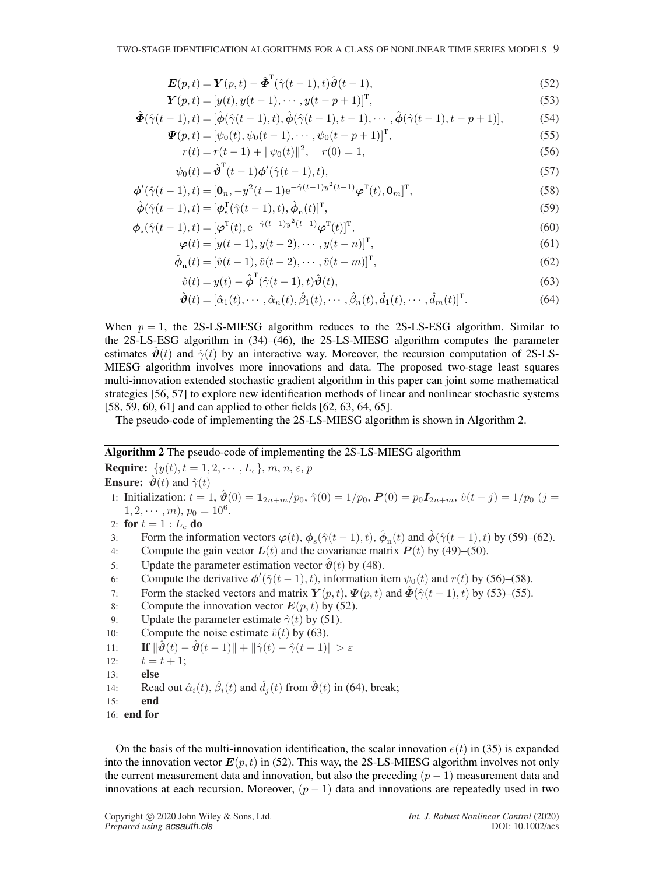$$
\boldsymbol{E}(p,t) = \boldsymbol{Y}(p,t) - \hat{\boldsymbol{\Phi}}^{\mathrm{T}}(\hat{\gamma}(t-1),t)\hat{\boldsymbol{\vartheta}}(t-1),
$$
\n(52)

$$
\mathbf{Y}(p,t) = [y(t), y(t-1), \cdots, y(t-p+1)]^{\mathrm{T}},\tag{53}
$$

$$
\hat{\Phi}(\hat{\gamma}(t-1),t) = [\hat{\phi}(\hat{\gamma}(t-1),t), \hat{\phi}(\hat{\gamma}(t-1),t-1), \cdots, \hat{\phi}(\hat{\gamma}(t-1),t-p+1)],
$$
\n(54)

$$
\mathbf{\Psi}(p,t) = [\psi_0(t), \psi_0(t-1), \cdots, \psi_0(t-p+1)]^{\mathrm{T}}, \tag{55}
$$

$$
r(t) = r(t-1) + ||\psi_0(t)||^2, \quad r(0) = 1,
$$
\n(56)

$$
\psi_0(t) = \hat{\boldsymbol{\vartheta}}^{\mathrm{T}}(t-1)\boldsymbol{\varphi}'(\hat{\gamma}(t-1), t),\tag{57}
$$

$$
\phi'(\hat{\gamma}(t-1),t) = [\mathbf{0}_n, -y^2(t-1)e^{-\hat{\gamma}(t-1)y^2(t-1)}\boldsymbol{\varphi}^{\mathrm{T}}(t), \mathbf{0}_m]^{\mathrm{T}},
$$
\n(58)

$$
\hat{\boldsymbol{\phi}}(\hat{\gamma}(t-1),t) = [\boldsymbol{\phi}_s^{\mathrm{T}}(\hat{\gamma}(t-1),t),\hat{\boldsymbol{\phi}}_{\mathrm{n}}(t)]^{\mathrm{T}},\tag{59}
$$

$$
\boldsymbol{\phi}_{\mathrm{s}}(\hat{\gamma}(t-1),t) = [\boldsymbol{\varphi}^{\mathrm{T}}(t), e^{-\hat{\gamma}(t-1)y^{2}(t-1)}\boldsymbol{\varphi}^{\mathrm{T}}(t)]^{\mathrm{T}},\tag{60}
$$

$$
\boldsymbol{\varphi}(t) = [y(t-1), y(t-2), \cdots, y(t-n)]^{\mathrm{T}}, \tag{61}
$$

$$
\hat{\phi}_{n}(t) = [\hat{v}(t-1), \hat{v}(t-2), \cdots, \hat{v}(t-m)]^{T},
$$
\n(62)

$$
\hat{v}(t) = y(t) - \hat{\boldsymbol{\phi}}^{\mathrm{T}}(\hat{\gamma}(t-1), t)\hat{\boldsymbol{\theta}}(t),\tag{63}
$$

$$
\hat{\boldsymbol{\vartheta}}(t) = [\hat{\alpha}_1(t), \cdots, \hat{\alpha}_n(t), \hat{\beta}_1(t), \cdots, \hat{\beta}_n(t), \hat{d}_1(t), \cdots, \hat{d}_m(t)]^{\mathrm{T}}.
$$
\n(64)

When  $p = 1$ , the 2S-LS-MIESG algorithm reduces to the 2S-LS-ESG algorithm. Similar to the 2S-LS-ESG algorithm in (34)–(46), the 2S-LS-MIESG algorithm computes the parameter estimates  $\vartheta(t)$  and  $\hat{\gamma}(t)$  by an interactive way. Moreover, the recursion computation of 2S-LS-MIESG algorithm involves more innovations and data. The proposed two-stage least squares multi-innovation extended stochastic gradient algorithm in this paper can joint some mathematical strategies [56, 57] to explore new identification methods of linear and nonlinear stochastic systems [58, 59, 60, 61] and can applied to other fields [62, 63, 64, 65].

The pseudo-code of implementing the 2S-LS-MIESG algorithm is shown in Algorithm 2.

### Algorithm 2 The pseudo-code of implementing the 2S-LS-MIESG algorithm

**Require:**  $\{y(t), t = 1, 2, \dots, L_e\}, m, n, \varepsilon, p\}$ **Ensure:**  $\vartheta(t)$  and  $\hat{\gamma}(t)$ 1: Initialization:  $t = 1$ ,  $\hat{\theta}(0) = \mathbf{1}_{2n+m}/p_0$ ,  $\hat{\gamma}(0) = 1/p_0$ ,  $P(0) = p_0 I_{2n+m}$ ,  $\hat{v}(t - j) = 1/p_0$  (j =  $1, 2, \cdots, m$ ,  $p_0 = 10^6$ . 2: for  $t = 1 : L_e$  do 3: Form the information vectors  $\varphi(t)$ ,  $\phi_s(\hat{\gamma}(t-1), t)$ ,  $\hat{\phi}_n(t)$  and  $\hat{\phi}(\hat{\gamma}(t-1), t)$  by (59)–(62). 4: Compute the gain vector  $L(t)$  and the covariance matrix  $P(t)$  by (49)–(50). 5: Update the parameter estimation vector  $\hat{\theta}(t)$  by (48). 6: Compute the derivative  $\phi'(\hat{\gamma}(t-1), t)$ , information item  $\psi_0(t)$  and  $r(t)$  by (56)–(58). 7: Form the stacked vectors and matrix  $Y(p, t)$ ,  $\Psi(p, t)$  and  $\hat{\Phi}(\hat{\gamma}(t-1), t)$  by (53)–(55). 8: Compute the innovation vector  $E(p, t)$  by (52). 9: Update the parameter estimate  $\hat{\gamma}(t)$  by (51). 10: Compute the noise estimate  $\hat{v}(t)$  by (63). 11: **If**  $\|\hat{\boldsymbol{\vartheta}}(t) - \hat{\boldsymbol{\vartheta}}(t-1)\| + \|\hat{\gamma}(t) - \hat{\gamma}(t-1)\| > \varepsilon$ 12:  $t = t + 1$ ; 13: else 14: Read out  $\hat{\alpha}_i(t)$ ,  $\hat{\beta}_i(t)$  and  $\hat{d}_j(t)$  from  $\hat{\boldsymbol{\vartheta}}(t)$  in (64), break; 15: end

On the basis of the multi-innovation identification, the scalar innovation  $e(t)$  in (35) is expanded into the innovation vector  $E(p, t)$  in (52). This way, the 2S-LS-MIESG algorithm involves not only the current measurement data and innovation, but also the preceding  $(p - 1)$  measurement data and innovations at each recursion. Moreover,  $(p - 1)$  data and innovations are repeatedly used in two

16: end for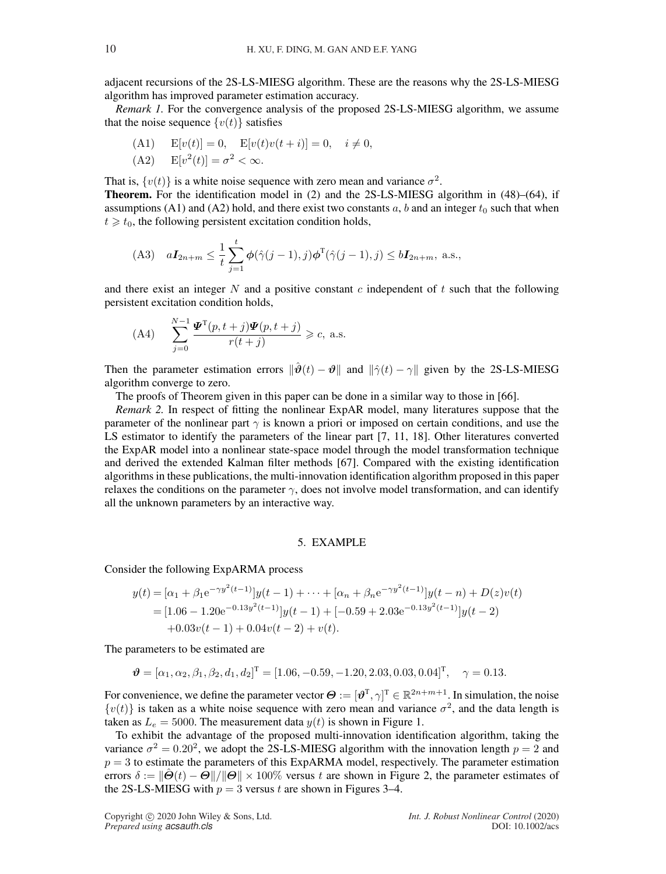adjacent recursions of the 2S-LS-MIESG algorithm. These are the reasons why the 2S-LS-MIESG algorithm has improved parameter estimation accuracy.

*Remark 1.* For the convergence analysis of the proposed 2S-LS-MIESG algorithm, we assume that the noise sequence  $\{v(t)\}\$  satisfies

(A1) 
$$
E[v(t)] = 0
$$
,  $E[v(t)v(t + i)] = 0$ ,  $i \neq 0$ ,  
(A2)  $E[v^2(t)] = \sigma^2 < \infty$ .

That is,  $\{v(t)\}\$ is a white noise sequence with zero mean and variance  $\sigma^2$ . Theorem. For the identification model in (2) and the 2S-LS-MIESG algorithm in (48)–(64), if assumptions (A1) and (A2) hold, and there exist two constants a, b and an integer  $t_0$  such that when  $t \geq t_0$ , the following persistent excitation condition holds,

(A3) 
$$
aI_{2n+m} \leq \frac{1}{t} \sum_{j=1}^{t} \phi(\hat{\gamma}(j-1),j)\phi^{T}(\hat{\gamma}(j-1),j) \leq bI_{2n+m}
$$
, a.s.,

and there exist an integer  $N$  and a positive constant  $c$  independent of  $t$  such that the following persistent excitation condition holds,

$$
\text{(A4)} \quad \sum_{j=0}^{N-1} \frac{\mathbf{\Psi}^{\mathrm{T}}(p, t+j)\mathbf{\Psi}(p, t+j)}{r(t+j)} \geqslant c, \text{ a.s.}
$$

N

Then the parameter estimation errors  $\|\hat{\boldsymbol{\vartheta}}(t) - \boldsymbol{\vartheta}\|$  and  $\|\hat{\gamma}(t) - \gamma\|$  given by the 2S-LS-MIESG algorithm converge to zero.

The proofs of Theorem given in this paper can be done in a similar way to those in [66].

*Remark 2.* In respect of fitting the nonlinear ExpAR model, many literatures suppose that the parameter of the nonlinear part  $\gamma$  is known a priori or imposed on certain conditions, and use the LS estimator to identify the parameters of the linear part [7, 11, 18]. Other literatures converted the ExpAR model into a nonlinear state-space model through the model transformation technique and derived the extended Kalman filter methods [67]. Compared with the existing identification algorithms in these publications, the multi-innovation identification algorithm proposed in this paper relaxes the conditions on the parameter  $\gamma$ , does not involve model transformation, and can identify all the unknown parameters by an interactive way.

# 5. EXAMPLE

Consider the following ExpARMA process

$$
y(t) = [\alpha_1 + \beta_1 e^{-\gamma y^2 (t-1)}] y(t-1) + \dots + [\alpha_n + \beta_n e^{-\gamma y^2 (t-1)}] y(t-n) + D(z) v(t)
$$
  
= [1.06 - 1.20e<sup>-0.13y<sup>2</sup>(t-1)}] y(t-1) + [-0.59 + 2.03e<sup>-0.13y<sup>2</sup>(t-1)}] y(t-2)  
+ 0.03v(t-1) + 0.04v(t-2) + v(t).</sup></sup>

The parameters to be estimated are

$$
\mathbf{\vartheta} = [\alpha_1, \alpha_2, \beta_1, \beta_2, d_1, d_2]^{\mathrm{T}} = [1.06, -0.59, -1.20, 2.03, 0.03, 0.04]^{\mathrm{T}}, \quad \gamma = 0.13.
$$

For convenience, we define the parameter vector  $\boldsymbol{\Theta} := [\boldsymbol{\vartheta}^T, \gamma]^T \in \mathbb{R}^{2n+m+1}$ . In simulation, the noise  $\{v(t)\}\$ is taken as a white noise sequence with zero mean and variance  $\sigma^2$ , and the data length is taken as  $L_e = 5000$ . The measurement data  $y(t)$  is shown in Figure 1.

To exhibit the advantage of the proposed multi-innovation identification algorithm, taking the variance  $\sigma^2 = 0.20^2$ , we adopt the 2S-LS-MIESG algorithm with the innovation length  $p = 2$  and  $p = 3$  to estimate the parameters of this ExpARMA model, respectively. The parameter estimation errors  $\delta := ||\hat{\Theta}(t) - \Theta||/||\Theta|| \times 100\%$  versus t are shown in Figure 2, the parameter estimates of the 2S-LS-MIESG with  $p = 3$  versus t are shown in Figures 3–4.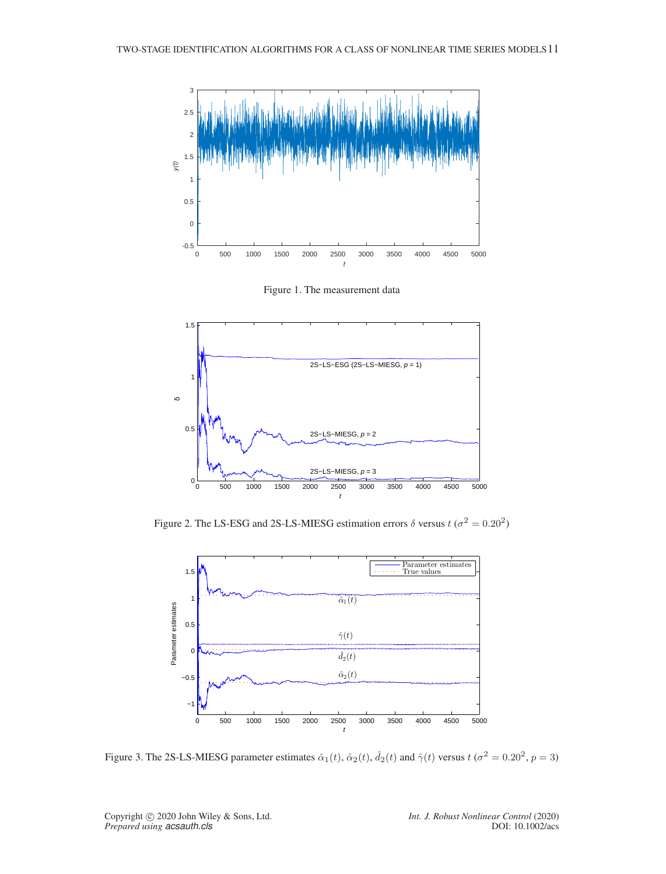

Figure 1. The measurement data



Figure 2. The LS-ESG and 2S-LS-MIESG estimation errors  $\delta$  versus  $t (\sigma^2 = 0.20^2)$ 



Figure 3. The 2S-LS-MIESG parameter estimates  $\hat{\alpha}_1(t)$ ,  $\hat{\alpha}_2(t)$ ,  $\hat{d}_2(t)$  and  $\hat{\gamma}(t)$  versus  $t(\sigma^2 = 0.20^2, p = 3)$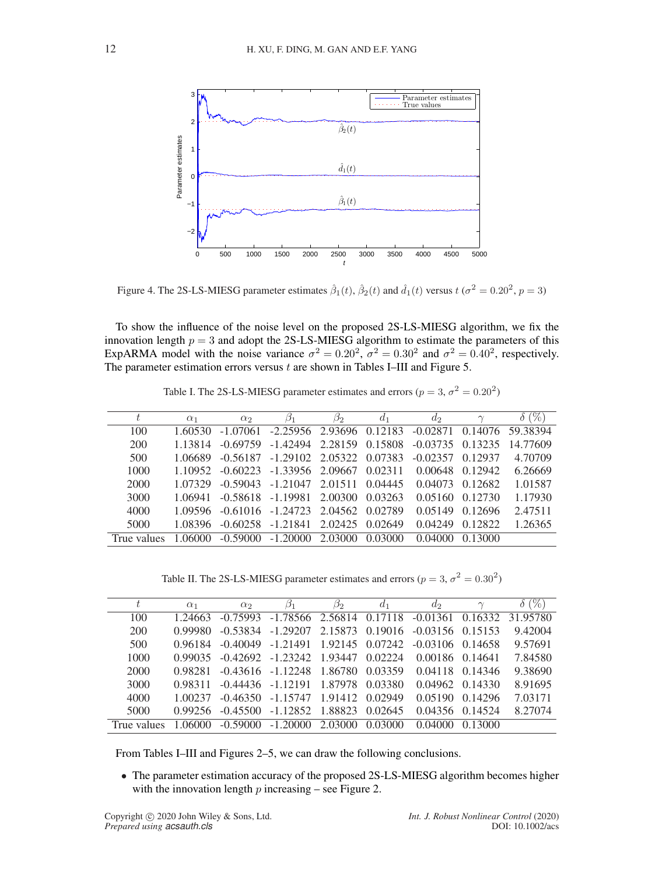

Figure 4. The 2S-LS-MIESG parameter estimates  $\hat{\beta}_1(t)$ ,  $\hat{\beta}_2(t)$  and  $\hat{d}_1(t)$  versus  $t(\sigma^2 = 0.20^2, p = 3)$ 

To show the influence of the noise level on the proposed 2S-LS-MIESG algorithm, we fix the innovation length  $p = 3$  and adopt the 2S-LS-MIESG algorithm to estimate the parameters of this ExpARMA model with the noise variance  $\sigma^2 = 0.20^2$ ,  $\sigma^2 = 0.30^2$  and  $\sigma^2 = 0.40^2$ , respectively. The parameter estimation errors versus  $t$  are shown in Tables I–III and Figure 5.

|             | $\alpha_1$ | $\alpha_2$ | $\beta_1$                  | $\beta_2$ | d <sub>1</sub> | $d_2$              | $\sim$  | 96)              |
|-------------|------------|------------|----------------------------|-----------|----------------|--------------------|---------|------------------|
| 100         | 1.60530    | $-1.07061$ | $-2.25956$ 2.93696 0.12183 |           |                | $-0.02871$         |         | 0.14076 59.38394 |
| 200         | 1 13814    | $-0.69759$ | $-1.42494$                 | 2.28159   | 0.15808        | $-0.03735$ 0.13235 |         | 14.77609         |
| 500         | 1 06689    | $-0.56187$ | $-1.29102$ 2.05322         |           | 0.07383        | $-0.02357$         | 0.12937 | 4.70709          |
| 1000        | 1 10952    | $-0.60223$ | $-1.33956$ 2.09667         |           | 0.02311        | 0.00648            | 0.12942 | 6.26669          |
| 2000        | 1 07329    | $-0.59043$ | $-1.21047$                 | 2.01511   | 0.04445        | 0.04073            | 0.12682 | 1.01587          |
| 3000        | 1 06941    |            | $-0.58618 - 1.19981$       | 2.00300   | 0.03263        | 0.05160            | 0.12730 | 1.17930          |
| 4000        | 1.09596    | $-0.61016$ | $-1.24723$                 | 2.04562   | 0.02789        | 0.05149            | 0.12696 | 2.47511          |
| 5000        | 1.08396    | $-0.60258$ | $-1.21841$                 | 2.02425   | 0.02649        | 0.04249            | 0.12822 | 1.26365          |
| True values | 1.06000    | $-0.59000$ | $-1.20000$                 | 2.03000   | 0.03000        | 0.04000            | 0.13000 |                  |

Table I. The 2S-LS-MIESG parameter estimates and errors ( $p = 3$ ,  $\sigma^2 = 0.20^2$ )

Table II. The 2S-LS-MIESG parameter estimates and errors ( $p = 3$ ,  $\sigma^2 = 0.30^2$ )

| t.          | $\alpha_1$ | $\alpha_2$ | $\beta_1$                                 | $\beta_2$ | $d_1$   | $d_2$              | $\sim$  | $(\% )$<br>$\delta$ |
|-------------|------------|------------|-------------------------------------------|-----------|---------|--------------------|---------|---------------------|
| 100         | 1 24663    | $-0.75993$ | $-1.78566$ 2.56814                        |           | 0.17118 | $-0.01361$         | 0.16332 | 31.95780            |
| 200         | 0.99980    | $-0.53834$ | $-1.29207$                                | 2.15873   | 0.19016 | $-0.03156$ 0.15153 |         | 9.42004             |
| 500         | 0.96184    |            | $-0.40049$ $-1.21491$ $1.92145$ $0.07242$ |           |         | $-0.03106$ 0.14658 |         | 9.57691             |
| 1000        | 0.99035    | $-0.42692$ | $-1.23242$ 1.93447                        |           | 0.02224 | 0.00186 0.14641    |         | 7.84580             |
| 2000        | 0.98281    |            | $-0.43616$ $-1.12248$ $1.86780$           |           | 0.03359 | 0.04118            | 0.14346 | 9.38690             |
| 3000        | 0.98311    |            | $-0.44436 - 1.12191$                      | 1.87978   | 0.03380 | 0.04962            | 0.14330 | 8.91695             |
| 4000        | 1.00237    | $-0.46350$ | $-1.15747$                                | 1.91412   | 0.02949 | 0.05190            | 0.14296 | 7.03171             |
| 5000        | 0.99256    | $-0.45500$ | $-1.12852$                                | 1.88823   | 0.02645 | 0.04356            | 0.14524 | 8.27074             |
| True values |            | $-0.59000$ | $-1.20000$                                | 2.03000   | 0.03000 | 0.04000            |         |                     |

From Tables I–III and Figures 2–5, we can draw the following conclusions.

• The parameter estimation accuracy of the proposed 2S-LS-MIESG algorithm becomes higher with the innovation length  $p$  increasing – see Figure 2.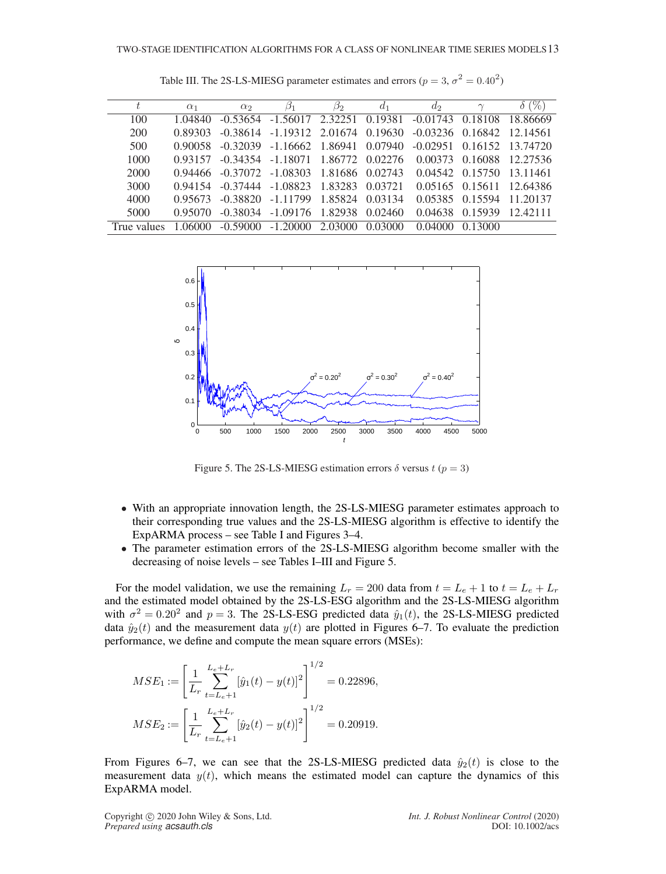| t           | $\alpha_1$ | $\alpha_2$ | $\beta_1$                                                                | $\beta_2$ | $d_1$   | $d_2$   | $\sim$  | $(\%$                       |
|-------------|------------|------------|--------------------------------------------------------------------------|-----------|---------|---------|---------|-----------------------------|
| 100         | 1.04840    | $-0.53654$ | $-1.56017$ 2.32251 0.19381 $-0.01743$                                    |           |         |         | 0.18108 | - 18 86669                  |
| 200         | 0.89303    |            | $-0.38614$ $-1.19312$ $2.01674$ $0.19630$                                |           |         |         |         | $-0.03236$ 0.16842 12.14561 |
| 500         | 0.90058    |            | $-0.32039$ $-1.16662$ $1.86941$ $0.07940$                                |           |         |         |         | $-0.02951$ 0.16152 13.74720 |
| 1000        | 0.93157    |            | $-0.34354$ $-1.18071$ $1.86772$ $0.02276$ $0.00373$ $0.16088$ $12.27536$ |           |         |         |         |                             |
| 2000        | 0.94466    |            | $-0.37072$ $-1.08303$ $1.81686$ $0.02743$ $0.04542$ $0.15750$ $13.11461$ |           |         |         |         |                             |
| 3000        | 0.94154    |            | $-0.37444$ $-1.08823$ $1.83283$ $0.03721$                                |           |         |         |         | 0.05165 0.15611 12.64386    |
| 4000        | 0.95673    | $-0.38820$ | -1.11799 1.85824                                                         |           | 0.03134 | 0.05385 |         | 0.15594 11.20137            |
| 5000        | 0.95070    | $-0.38034$ | $-1.09176$ 1.82938                                                       |           | 0.02460 | 0.04638 | 0.15939 | 12.42111                    |
| True values | 1.06000    | $-0.59000$ | $-1.20000$                                                               | 2.03000   | 0.03000 | 0.04000 | 0.13000 |                             |

Table III. The 2S-LS-MIESG parameter estimates and errors ( $p = 3$ ,  $\sigma^2 = 0.40^2$ )



Figure 5. The 2S-LS-MIESG estimation errors  $\delta$  versus  $t (p = 3)$ 

- With an appropriate innovation length, the 2S-LS-MIESG parameter estimates approach to their corresponding true values and the 2S-LS-MIESG algorithm is effective to identify the ExpARMA process – see Table I and Figures 3–4.
- The parameter estimation errors of the 2S-LS-MIESG algorithm become smaller with the decreasing of noise levels – see Tables I–III and Figure 5.

For the model validation, we use the remaining  $L_r = 200$  data from  $t = L_e + 1$  to  $t = L_e + L_r$ and the estimated model obtained by the 2S-LS-ESG algorithm and the 2S-LS-MIESG algorithm with  $\sigma^2 = 0.20^2$  and  $p = 3$ . The 2S-LS-ESG predicted data  $\hat{y}_1(t)$ , the 2S-LS-MIESG predicted data  $\hat{y}_2(t)$  and the measurement data  $y(t)$  are plotted in Figures 6–7. To evaluate the prediction performance, we define and compute the mean square errors (MSEs):

$$
MSE_1 := \left[\frac{1}{L_r} \sum_{t=L_e+1}^{L_e+L_r} [\hat{y}_1(t) - y(t)]^2\right]^{1/2} = 0.22896,
$$
  

$$
MSE_2 := \left[\frac{1}{L_r} \sum_{t=L_e+1}^{L_e+L_r} [\hat{y}_2(t) - y(t)]^2\right]^{1/2} = 0.20919.
$$

From Figures 6–7, we can see that the 2S-LS-MIESG predicted data  $\hat{y}_2(t)$  is close to the measurement data  $y(t)$ , which means the estimated model can capture the dynamics of this ExpARMA model.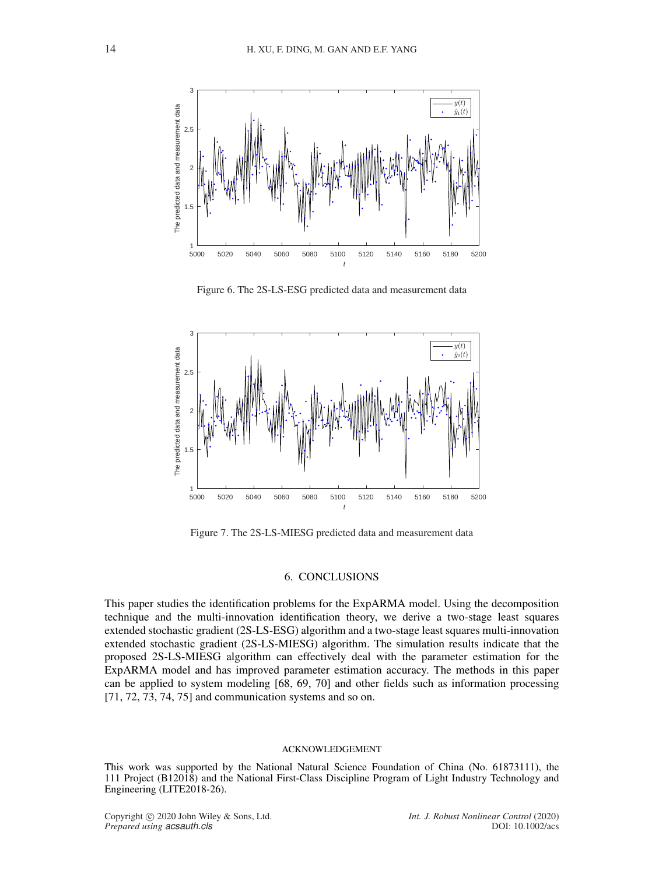

Figure 6. The 2S-LS-ESG predicted data and measurement data



Figure 7. The 2S-LS-MIESG predicted data and measurement data

# 6. CONCLUSIONS

This paper studies the identification problems for the ExpARMA model. Using the decomposition technique and the multi-innovation identification theory, we derive a two-stage least squares extended stochastic gradient (2S-LS-ESG) algorithm and a two-stage least squares multi-innovation extended stochastic gradient (2S-LS-MIESG) algorithm. The simulation results indicate that the proposed 2S-LS-MIESG algorithm can effectively deal with the parameter estimation for the ExpARMA model and has improved parameter estimation accuracy. The methods in this paper can be applied to system modeling [68, 69, 70] and other fields such as information processing [71, 72, 73, 74, 75] and communication systems and so on.

### ACKNOWLEDGEMENT

This work was supported by the National Natural Science Foundation of China (No. 61873111), the 111 Project (B12018) and the National First-Class Discipline Program of Light Industry Technology and Engineering (LITE2018-26).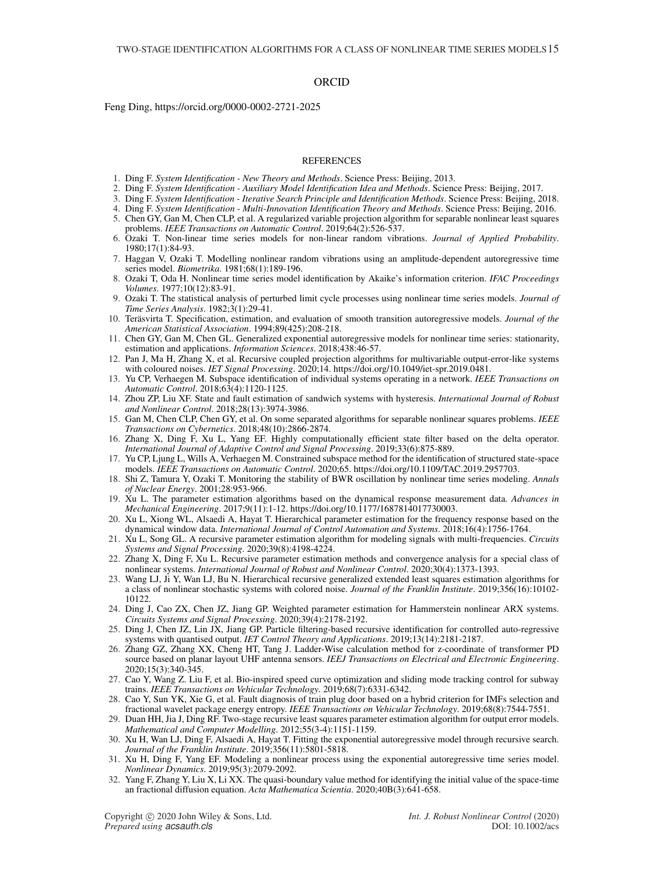### **ORCID**

Feng Ding, https://orcid.org/0000-0002-2721-2025

#### REFERENCES

- 1. Ding F. *System Identification New Theory and Methods*. Science Press: Beijing, 2013.
- 2. Ding F. *System Identification Auxiliary Model Identification Idea and Methods*. Science Press: Beijing, 2017.
- 3. Ding F. *System Identification Iterative Search Principle and Identification Methods*. Science Press: Beijing, 2018.
- 4. Ding F. *System Identification Multi-Innovation Identification Theory and Methods*. Science Press: Beijing, 2016.
- 5. Chen GY, Gan M, Chen CLP, et al. A regularized variable projection algorithm for separable nonlinear least squares problems. *IEEE Transactions on Automatic Control*. 2019;64(2):526-537.
- 6. Ozaki T. Non-linear time series models for non-linear random vibrations. *Journal of Applied Probability*. 1980;17(1):84-93.
- 7. Haggan V, Ozaki T. Modelling nonlinear random vibrations using an amplitude-dependent autoregressive time series model. *Biometrika*. 1981;68(1):189-196.
- 8. Ozaki T, Oda H. Nonlinear time series model identification by Akaike's information criterion. *IFAC Proceedings Volumes*. 1977;10(12):83-91.
- 9. Ozaki T. The statistical analysis of perturbed limit cycle processes using nonlinear time series models. *Journal of Time Series Analysis*. 1982;3(1):29-41.
- 10. Teräsvirta T. Specification, estimation, and evaluation of smooth transition autoregressive models. *Journal of the American Statistical Association*. 1994;89(425):208-218.
- 11. Chen GY, Gan M, Chen GL. Generalized exponential autoregressive models for nonlinear time series: stationarity, estimation and applications. *Information Sciences*. 2018;438:46-57.
- 12. Pan J, Ma H, Zhang X, et al. Recursive coupled projection algorithms for multivariable output-error-like systems with coloured noises. *IET Signal Processing*. 2020;14. https://doi.org/10.1049/iet-spr.2019.0481.
- 13. Yu CP, Verhaegen M. Subspace identification of individual systems operating in a network. *IEEE Transactions on Automatic Control*. 2018;63(4):1120-1125.
- 14. Zhou ZP, Liu XF. State and fault estimation of sandwich systems with hysteresis. *International Journal of Robust and Nonlinear Control*. 2018;28(13):3974-3986.
- 15. Gan M, Chen CLP, Chen GY, et al. On some separated algorithms for separable nonlinear squares problems. *IEEE Transactions on Cybernetics*. 2018;48(10):2866-2874.
- 16. Zhang X, Ding F, Xu L, Yang EF. Highly computationally efficient state filter based on the delta operator. *International Journal of Adaptive Control and Signal Processing*. 2019;33(6):875-889.
- 17. Yu CP, Ljung L, Wills A, Verhaegen M. Constrained subspace method for the identification of structured state-space models. *IEEE Transactions on Automatic Control*. 2020;65. https://doi.org/10.1109/TAC.2019.2957703.
- 18. Shi Z, Tamura Y, Ozaki T. Monitoring the stability of BWR oscillation by nonlinear time series modeling. *Annals of Nuclear Energy*. 2001;28:953-966.
- 19. Xu L. The parameter estimation algorithms based on the dynamical response measurement data. *Advances in Mechanical Engineering*. 2017;9(11):1-12. https://doi.org/10.1177/1687814017730003.
- 20. Xu L, Xiong WL, Alsaedi A, Hayat T. Hierarchical parameter estimation for the frequency response based on the dynamical window data. *International Journal of Control Automation and Systems*. 2018;16(4):1756-1764.
- 21. Xu L, Song GL. A recursive parameter estimation algorithm for modeling signals with multi-frequencies. *Circuits Systems and Signal Processing*. 2020;39(8):4198-4224.
- 22. Zhang X, Ding F, Xu L. Recursive parameter estimation methods and convergence analysis for a special class of nonlinear systems. *International Journal of Robust and Nonlinear Control*. 2020;30(4):1373-1393.
- 23. Wang LJ, Ji Y, Wan LJ, Bu N. Hierarchical recursive generalized extended least squares estimation algorithms for a class of nonlinear stochastic systems with colored noise. *Journal of the Franklin Institute*. 2019;356(16):10102- 10122.
- 24. Ding J, Cao ZX, Chen JZ, Jiang GP. Weighted parameter estimation for Hammerstein nonlinear ARX systems. *Circuits Systems and Signal Processing*. 2020;39(4):2178-2192.
- 25. Ding J, Chen JZ, Lin JX, Jiang GP. Particle filtering-based recursive identification for controlled auto-regressive systems with quantised output. *IET Control Theory and Applications*. 2019;13(14):2181-2187.
- 26. Zhang GZ, Zhang XX, Cheng HT, Tang J. Ladder-Wise calculation method for z-coordinate of transformer PD source based on planar layout UHF antenna sensors. *IEEJ Transactions on Electrical and Electronic Engineering*. 2020;15(3):340-345.
- 27. Cao Y, Wang Z. Liu F, et al. Bio-inspired speed curve optimization and sliding mode tracking control for subway trains. *IEEE Transactions on Vehicular Technology*. 2019;68(7):6331-6342.
- 28. Cao Y, Sun YK, Xie G, et al. Fault diagnosis of train plug door based on a hybrid criterion for IMFs selection and fractional wavelet package energy entropy. *IEEE Transactions on Vehicular Technology*. 2019;68(8):7544-7551.
- 29. Duan HH, Jia J, Ding RF. Two-stage recursive least squares parameter estimation algorithm for output error models. *Mathematical and Computer Modelling*. 2012;55(3-4):1151-1159.
- 30. Xu H, Wan LJ, Ding F, Alsaedi A, Hayat T. Fitting the exponential autoregressive model through recursive search. *Journal of the Franklin Institute*. 2019;356(11):5801-5818.
- 31. Xu H, Ding F, Yang EF. Modeling a nonlinear process using the exponential autoregressive time series model. *Nonlinear Dynamics*. 2019;95(3):2079-2092.
- 32. Yang F, Zhang Y, Liu X, Li XX. The quasi-boundary value method for identifying the initial value of the space-time an fractional diffusion equation. *Acta Mathematica Scientia*. 2020;40B(3):641-658.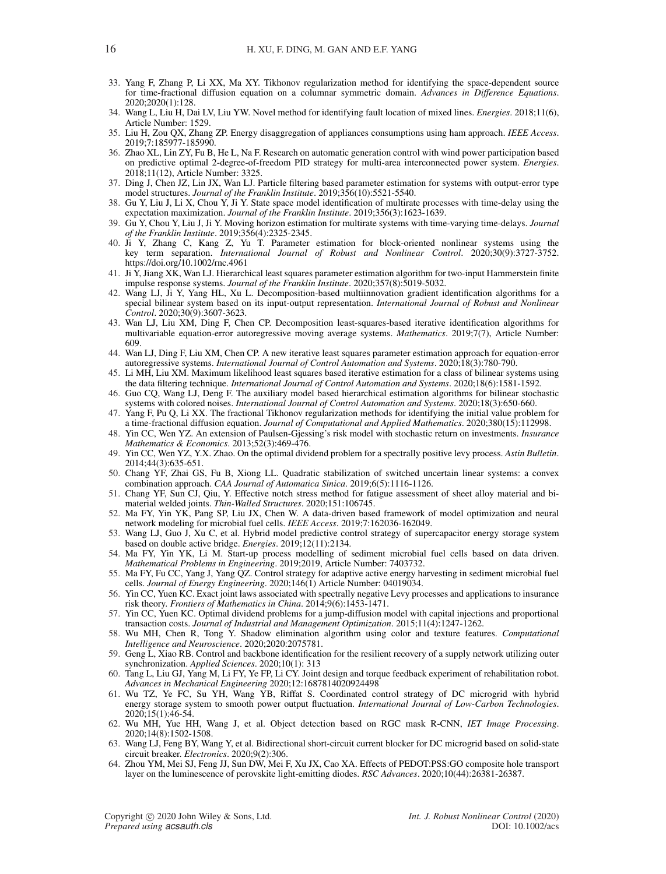- 33. Yang F, Zhang P, Li XX, Ma XY. Tikhonov regularization method for identifying the space-dependent source for time-fractional diffusion equation on a columnar symmetric domain. *Advances in Difference Equations*. 2020;2020(1):128.
- 34. Wang L, Liu H, Dai LV, Liu YW. Novel method for identifying fault location of mixed lines. *Energies*. 2018;11(6), Article Number: 1529.
- 35. Liu H, Zou QX, Zhang ZP. Energy disaggregation of appliances consumptions using ham approach. *IEEE Access*. 2019;7:185977-185990.
- 36. Zhao XL, Lin ZY, Fu B, He L, Na F. Research on automatic generation control with wind power participation based on predictive optimal 2-degree-of-freedom PID strategy for multi-area interconnected power system. *Energies*. 2018;11(12), Article Number: 3325.
- 37. Ding J, Chen JZ, Lin JX, Wan LJ. Particle filtering based parameter estimation for systems with output-error type model structures. *Journal of the Franklin Institute*. 2019;356(10):5521-5540.
- 38. Gu Y, Liu J, Li X, Chou Y, Ji Y. State space model identification of multirate processes with time-delay using the expectation maximization. *Journal of the Franklin Institute*. 2019;356(3):1623-1639.
- 39. Gu Y, Chou Y, Liu J, Ji Y. Moving horizon estimation for multirate systems with time-varying time-delays. *Journal of the Franklin Institute*. 2019;356(4):2325-2345.
- 40. Ji Y, Zhang C, Kang Z, Yu T. Parameter estimation for block-oriented nonlinear systems using the key term separation. *International Journal of Robust and Nonlinear Control*. 2020;30(9):3727-3752. https://doi.org/10.1002/rnc.4961
- 41. Ji Y, Jiang XK, Wan LJ. Hierarchical least squares parameter estimation algorithm for two-input Hammerstein finite impulse response systems. *Journal of the Franklin Institute*. 2020;357(8):5019-5032.
- 42. Wang LJ, Ji Y, Yang HL, Xu L. Decomposition-based multiinnovation gradient identification algorithms for a special bilinear system based on its input-output representation. *International Journal of Robust and Nonlinear Control*. 2020;30(9):3607-3623.
- 43. Wan LJ, Liu XM, Ding F, Chen CP. Decomposition least-squares-based iterative identification algorithms for multivariable equation-error autoregressive moving average systems. *Mathematics*. 2019;7(7), Article Number: 609.
- 44. Wan LJ, Ding F, Liu XM, Chen CP. A new iterative least squares parameter estimation approach for equation-error autoregressive systems. *International Journal of Control Automation and Systems*. 2020;18(3):780-790.
- 45. Li MH, Liu XM. Maximum likelihood least squares based iterative estimation for a class of bilinear systems using the data filtering technique. *International Journal of Control Automation and Systems*. 2020;18(6):1581-1592.
- 46. Guo CQ, Wang LJ, Deng F. The auxiliary model based hierarchical estimation algorithms for bilinear stochastic systems with colored noises. *International Journal of Control Automation and Systems*. 2020;18(3):650-660.
- 47. Yang F, Pu Q, Li XX. The fractional Tikhonov regularization methods for identifying the initial value problem for a time-fractional diffusion equation. *Journal of Computational and Applied Mathematics*. 2020;380(15):112998.
- 48. Yin CC, Wen YZ. An extension of Paulsen-Gjessing's risk model with stochastic return on investments. *Insurance Mathematics & Economics*. 2013;52(3):469-476.
- 49. Yin CC, Wen YZ, Y.X. Zhao. On the optimal dividend problem for a spectrally positive levy process. *Astin Bulletin*. 2014;44(3):635-651.
- 50. Chang YF, Zhai GS, Fu B, Xiong LL. Quadratic stabilization of switched uncertain linear systems: a convex combination approach. *CAA Journal of Automatica Sinica*. 2019;6(5):1116-1126.
- 51. Chang YF, Sun CJ, Qiu, Y. Effective notch stress method for fatigue assessment of sheet alloy material and bimaterial welded joints. *Thin-Walled Structures*. 2020;151:106745.
- 52. Ma FY, Yin YK, Pang SP, Liu JX, Chen W. A data-driven based framework of model optimization and neural network modeling for microbial fuel cells. *IEEE Access*. 2019;7:162036-162049.
- 53. Wang LJ, Guo J, Xu C, et al. Hybrid model predictive control strategy of supercapacitor energy storage system based on double active bridge. *Energies*. 2019;12(11):2134.
- 54. Ma FY, Yin YK, Li M. Start-up process modelling of sediment microbial fuel cells based on data driven. *Mathematical Problems in Engineering*. 2019;2019, Article Number: 7403732.
- 55. Ma FY, Fu CC, Yang J, Yang QZ. Control strategy for adaptive active energy harvesting in sediment microbial fuel cells. *Journal of Energy Engineering*. 2020;146(1) Article Number: 04019034.
- 56. Yin CC, Yuen KC. Exact joint laws associated with spectrally negative Levy processes and applications to insurance risk theory. *Frontiers of Mathematics in China*. 2014;9(6):1453-1471.
- 57. Yin CC, Yuen KC. Optimal dividend problems for a jump-diffusion model with capital injections and proportional transaction costs. *Journal of Industrial and Management Optimization*. 2015;11(4):1247-1262.
- 58. Wu MH, Chen R, Tong Y. Shadow elimination algorithm using color and texture features. *Computational Intelligence and Neuroscience*. 2020;2020:2075781.
- 59. Geng L, Xiao RB. Control and backbone identification for the resilient recovery of a supply network utilizing outer synchronization. *Applied Sciences*. 2020;10(1): 313
- 60. Tang L, Liu GJ, Yang M, Li FY, Ye FP, Li CY. Joint design and torque feedback experiment of rehabilitation robot. *Advances in Mechanical Engineering* 2020;12:1687814020924498
- 61. Wu TZ, Ye FC, Su YH, Wang YB, Riffat S. Coordinated control strategy of DC microgrid with hybrid energy storage system to smooth power output fluctuation. *International Journal of Low-Carbon Technologies*. 2020;15(1):46-54.
- 62. Wu MH, Yue HH, Wang J, et al. Object detection based on RGC mask R-CNN, *IET Image Processing*. 2020;14(8):1502-1508.
- 63. Wang LJ, Feng BY, Wang Y, et al. Bidirectional short-circuit current blocker for DC microgrid based on solid-state circuit breaker. *Electronics*. 2020;9(2):306.
- 64. Zhou YM, Mei SJ, Feng JJ, Sun DW, Mei F, Xu JX, Cao XA. Effects of PEDOT:PSS:GO composite hole transport layer on the luminescence of perovskite light-emitting diodes. *RSC Advances*. 2020;10(44):26381-26387.